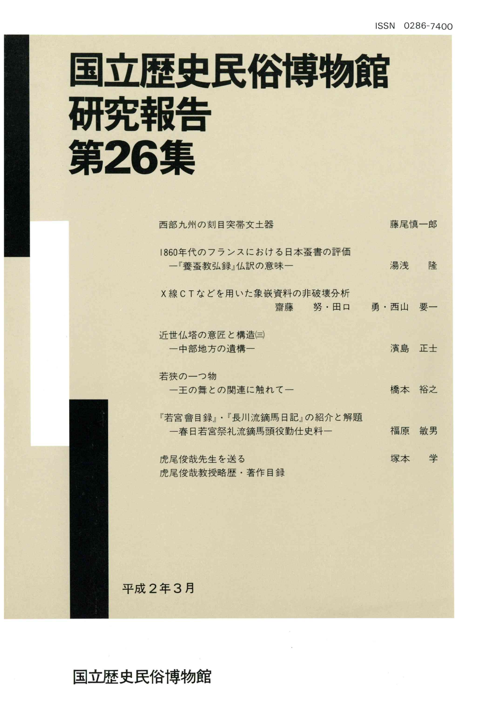# 国立歴史民俗博物館 研究報告 第26集

| 西部九州の刻目突帯文土器                                 | 藤尾慎一郎   |    |
|----------------------------------------------|---------|----|
| 1860年代のフランスにおける日本蚕書の評価<br>一『養蚕教弘録』仏訳の意味一     | 湯浅      | 隆  |
| X線CTなどを用いた象嵌資料の非破壊分析                         |         |    |
| 齋藤 努・田口                                      | 勇·西山 要一 |    |
| 近世仏塔の意匠と構造闫<br>一中部地方の遺構一                     | 濱島      | 正士 |
| 若狭の一つ物<br>一王の舞との関連に触れて一                      | 橋本 裕之   |    |
| 『若宮會目録』・『長川流鏑馬日記』の紹介と解題<br>一春日若宮祭礼流鏑馬頭役勤仕史料一 | 福原      | 敏男 |
| 虎尾俊哉先生を送る                                    | 塚本      | 学  |
| 虎尾俊哉教授略歴・著作目録                                |         |    |

平成2年3月

国立歴史民俗博物館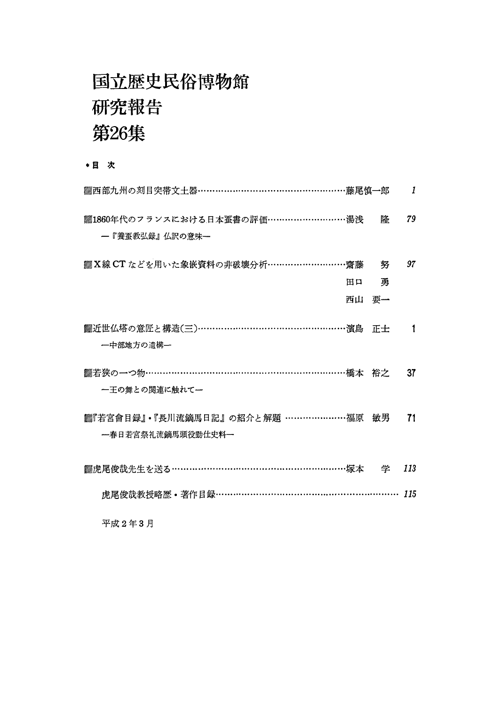### 国立歴史民俗博物館 研究報告 第26集

\*目 次

| ▓西部九州の刻目突帯文土器……………………………………………藤尾慎→郎                         |       | 1   |
|-------------------------------------------------------------|-------|-----|
| ▓1860年代のフランスにおける日本蚕書の評価………………………湯浅<br>―『養蚕教弘録』仏訳の意味―        | 隆     | 79  |
| ▓X線 CT などを用いた象嵌資料の非破壊分析………………………齋藤──努                       |       | 97  |
| 田口                                                          | 勇     |     |
|                                                             | 西山 要一 |     |
| ▓近世仏塔の意匠と構造(三)……………………………………………濱島 正士<br>―中部地方の潰構―           |       | 1   |
| ▓若狭の一つ物…………………………………………………………橘本 裕之<br>一王の舞との関連に触れて一         |       | 37  |
| ▓『若宮會目録』• 『長川流鏑馬日記』の紹介と解題 …………………福原 敏男<br>一春日若宮祭礼流鏑馬頭役勤仕史料一 |       | 71  |
|                                                             |       | 113 |
| 虎尾俊哉教授略歷·著作目録………………………………………………………                          |       | 115 |
|                                                             |       |     |

平成2年3月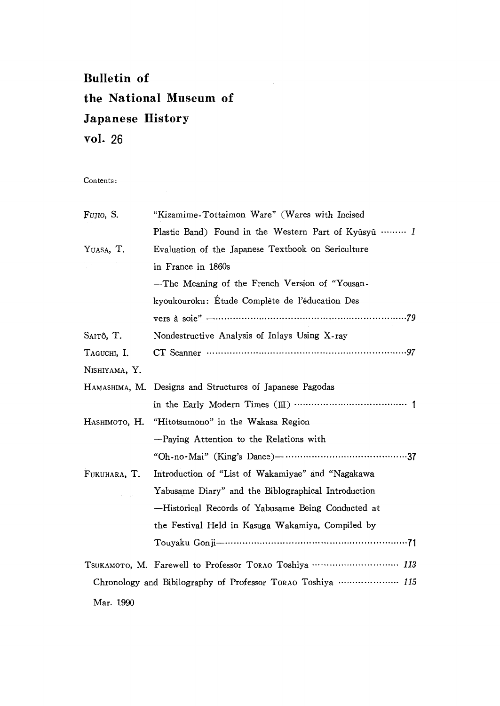### Bulletin of the National Museum of Japanese History vol.26

Contents:

| FUJIO, S.     | "Kizamime-Tottaimon Ware" (Wares with Incised               |  |  |
|---------------|-------------------------------------------------------------|--|--|
|               | Plastic Band) Found in the Western Part of Kyûsyû  1        |  |  |
| YUASA, T.     | Evaluation of the Japanese Textbook on Sericulture          |  |  |
|               | in France in 1860s                                          |  |  |
|               | -The Meaning of the French Version of "Yousan-              |  |  |
|               | kyoukouroku: Etude Complète de l'éducation Des              |  |  |
|               |                                                             |  |  |
| Saitô, T.     | Nondestructive Analysis of Inlays Using X-ray               |  |  |
| TAGUCHI, I.   |                                                             |  |  |
| NISHIYAMA, Y. |                                                             |  |  |
|               | HAMASHIMA, M. Designs and Structures of Japanese Pagodas    |  |  |
|               |                                                             |  |  |
| Наѕнімото, Н. | "Hitotsumono" in the Wakasa Region                          |  |  |
|               | -Paying Attention to the Relations with                     |  |  |
|               |                                                             |  |  |
| FUKUHARA, T.  | Introduction of "List of Wakamiyae" and "Nagakawa           |  |  |
|               | Yabusame Diary" and the Biblographical Introduction         |  |  |
|               | -Historical Records of Yabusame Being Conducted at          |  |  |
|               | the Festival Held in Kasuga Wakamiya, Compiled by           |  |  |
|               |                                                             |  |  |
|               | TSUKAMOTO, M. Farewell to Professor TORAO Toshiya  113      |  |  |
|               | Chronology and Bibilography of Professor TORAO Toshiya  115 |  |  |
| Mar. 1990     |                                                             |  |  |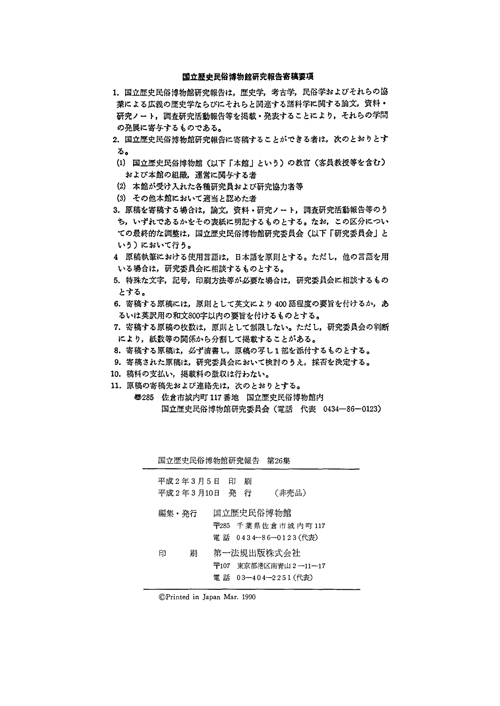#### 国立歴史民俗博物館研究報告寄稿要項

- 1. 国立歴史民俗博物館研究報告は、歴史学,考古学,民俗学およびそれらの協 業による広義の歴史学ならびにそれらと関連する諸科学に関する論文,資料・ 研究ノート,調査研究活動報告等を掲載・発表することにより,それらの学問 の発展に寄与するものである。
- 2. 国立歴史民俗博物館研究報告に寄稿することができる者は、次のとおりとす る・
- (1)国立歴史民俗博物館(以下「本館」という)の教官(客員教授等を含む) および本館の組織、運営に関与する者
- ②本館が受け入れた各種研究員および研究協力者等
- (3)その他本館において適当と認めた者
- 3. 原稿を寄稿する場合は、論文,資料·研究ノート,調査研究活動報告等のう ち,いずれであるかをその表紙に明記するものとする。なお,この区分につい ての最終的な調整は,国立歴史民俗博物館研究委員会(以下「研究委員会」と いう)において行う。
- 4原稿執筆における使用言語は,日本語を原則とする。ただし,他の言語を用 いる場合は,研究委員会に相談するものとする。
- 5.特殊な文字,記号,印刷方法等が必要な場合は,研究委員会に相談するもの とする。
- 6.寄稿する原稿には,原則として英文により400語程度の要旨を付けるか,あ るいは英訳用の和文800字以内の要旨を付けるものとする。
- 7.寄稿する原稿の枚数は,原則として制限しない。ただし,研究委員会の判断 により,紙数等の関係から分割して掲載することがある。
- 8.寄稿する原稿は,必ず清書し,原稿の写し1部を添付するものとする。
- 9. 寄稿された原稿は、研究委員会において検討のうえ、採否を決定する。
- 10.稿料の支払い,掲載料の徴収は行わない。
- 11.原稿の寄稿先および連絡先は,次のとおりとする。
	- e285佐倉市城内町117番地 国立歴史民俗博物館内 国立歴史民俗博物館研究委員会(電話 代表 0434-86-0123)

|   |                             |   | 国立歴史民俗博物館研究報告 第26集                                        |  |
|---|-----------------------------|---|-----------------------------------------------------------|--|
|   | 平成2年3月5日 印<br>平成2年3月10日 発 行 | 刷 | (非売品)                                                     |  |
|   | 編集・発行                       |   | 国立歴史民俗博物館<br>〒285 千葉県佐倉市城内町117<br>電 話 0434—86—0123(代表)    |  |
| 印 | 刷                           |   | 第一法規出版株式会社<br>〒107 東京都港区南青山2―11―17<br>電 話 03—404—2251(代表) |  |

⑥Printed in∫apan Mar.1990